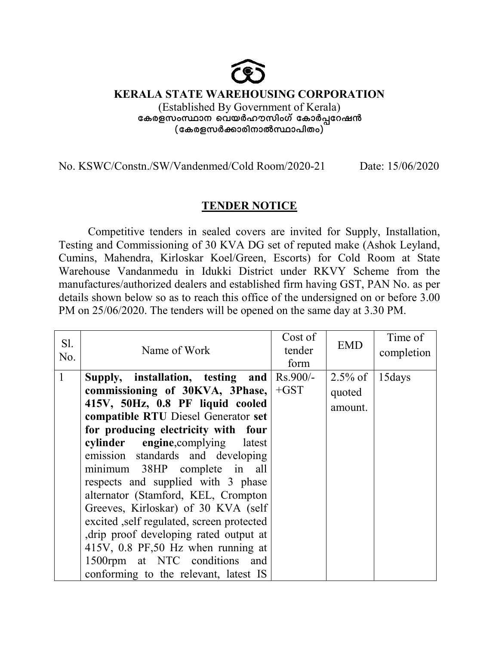## **KERALA STATE WAREHOUSING CORPORATION STATE WAREHOUSING** (Established By Government of Kerala) (Established By Government of Kerala)<br>കേരളസംസ്ഥാന വെയർഹൗസിംഗ് കോർപ്പറേഷൻ **(tIcfkÀ¡mcn (tIcfkÀ¡mcn\mÂØm]nXw)-**

No. KSWC/Constn./SW/Vandenmed/Cold Room/2020-21 Date: Date: 15/06/2020

## **TENDER NOTICE**

Competitive tenders in sealed covers are invited for Supply, Installation, Testing and Commissioning of 30 KVA DG set of reputed make (Ashok Ashok Leyland, Cumins, Mahendra, Kirloskar Koel/Green, Escorts) for Cold Room at State Warehouse Vandanmedu in Idukki District under RKVY Scheme from the manufactures/authorized dealers and established firm having GST, PAN No. as per details shown below so as to reach this office of the undersigned on or before 3.00 details shown below so as to reach this office of the undersigned on or before PM on 25/06/2020. The tenders will be opened on the same day at 3.30 PM GST, PAN No. as per<br>ned on or before 3.00<br>y at 3.30 PM.

| Sl. |                                                            | Cost of | <b>EMD</b> | Time of    |
|-----|------------------------------------------------------------|---------|------------|------------|
| No. | Name of Work                                               | tender  |            | completion |
|     |                                                            | form    |            |            |
| 1   | Supply, installation, testing and $\left \right.$ Rs.900/- |         | $2.5\%$ of | 15 days    |
|     | commissioning of 30KVA, 3Phase,                            | $+GST$  | quoted     |            |
|     | 415V, 50Hz, 0.8 PF liquid cooled                           |         | amount.    |            |
|     | compatible RTU Diesel Generator set                        |         |            |            |
|     | for producing electricity with four                        |         |            |            |
|     | cylinder engine, complying latest                          |         |            |            |
|     | emission standards and developing                          |         |            |            |
|     | minimum 38HP complete in all                               |         |            |            |
|     | respects and supplied with 3 phase                         |         |            |            |
|     | alternator (Stamford, KEL, Crompton                        |         |            |            |
|     | Greeves, Kirloskar) of 30 KVA (self                        |         |            |            |
|     | excited , self regulated, screen protected                 |         |            |            |
|     | drip proof developing rated output at                      |         |            |            |
|     | 415V, 0.8 PF, 50 Hz when running at                        |         |            |            |
|     | 1500rpm at NTC conditions and                              |         |            |            |
|     | conforming to the relevant, latest IS                      |         |            |            |